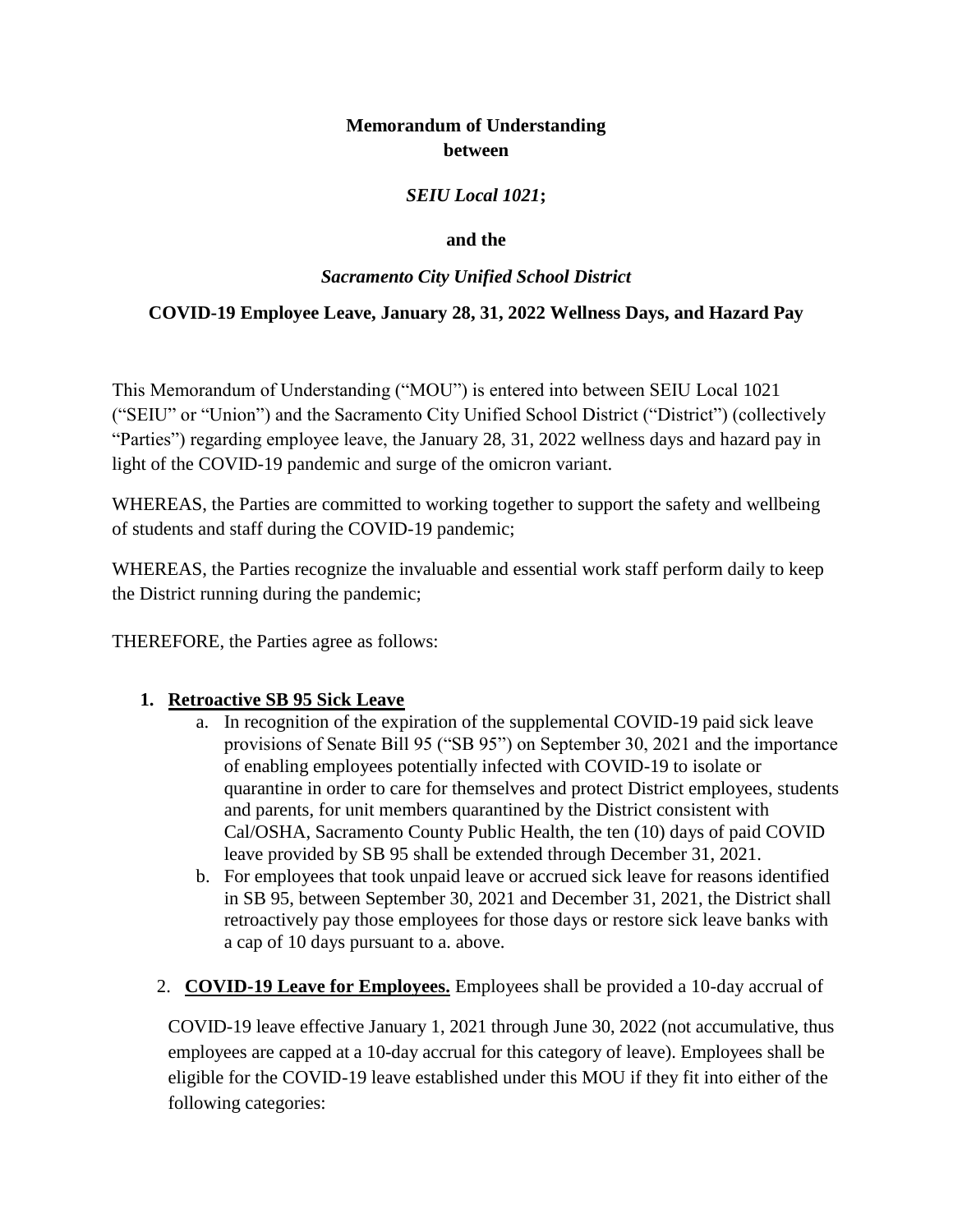# **Memorandum of Understanding between**

### *SEIU Local 1021***;**

### **and the**

# *Sacramento City Unified School District*

# **COVID-19 Employee Leave, January 28, 31, 2022 Wellness Days, and Hazard Pay**

This Memorandum of Understanding ("MOU") is entered into between SEIU Local 1021 ("SEIU" or "Union") and the Sacramento City Unified School District ("District") (collectively "Parties") regarding employee leave, the January 28, 31, 2022 wellness days and hazard pay in light of the COVID-19 pandemic and surge of the omicron variant.

WHEREAS, the Parties are committed to working together to support the safety and wellbeing of students and staff during the COVID-19 pandemic;

WHEREAS, the Parties recognize the invaluable and essential work staff perform daily to keep the District running during the pandemic;

THEREFORE, the Parties agree as follows:

### **1. Retroactive SB 95 Sick Leave**

- a. In recognition of the expiration of the supplemental COVID-19 paid sick leave provisions of Senate Bill 95 ("SB 95") on September 30, 2021 and the importance of enabling employees potentially infected with COVID-19 to isolate or quarantine in order to care for themselves and protect District employees, students and parents, for unit members quarantined by the District consistent with Cal/OSHA, Sacramento County Public Health, the ten (10) days of paid COVID leave provided by SB 95 shall be extended through December 31, 2021.
- b. For employees that took unpaid leave or accrued sick leave for reasons identified in SB 95, between September 30, 2021 and December 31, 2021, the District shall retroactively pay those employees for those days or restore sick leave banks with a cap of 10 days pursuant to a. above.
- 2. **COVID-19 Leave for Employees.** Employees shall be provided a 10-day accrual of

COVID-19 leave effective January 1, 2021 through June 30, 2022 (not accumulative, thus employees are capped at a 10-day accrual for this category of leave). Employees shall be eligible for the COVID-19 leave established under this MOU if they fit into either of the following categories: